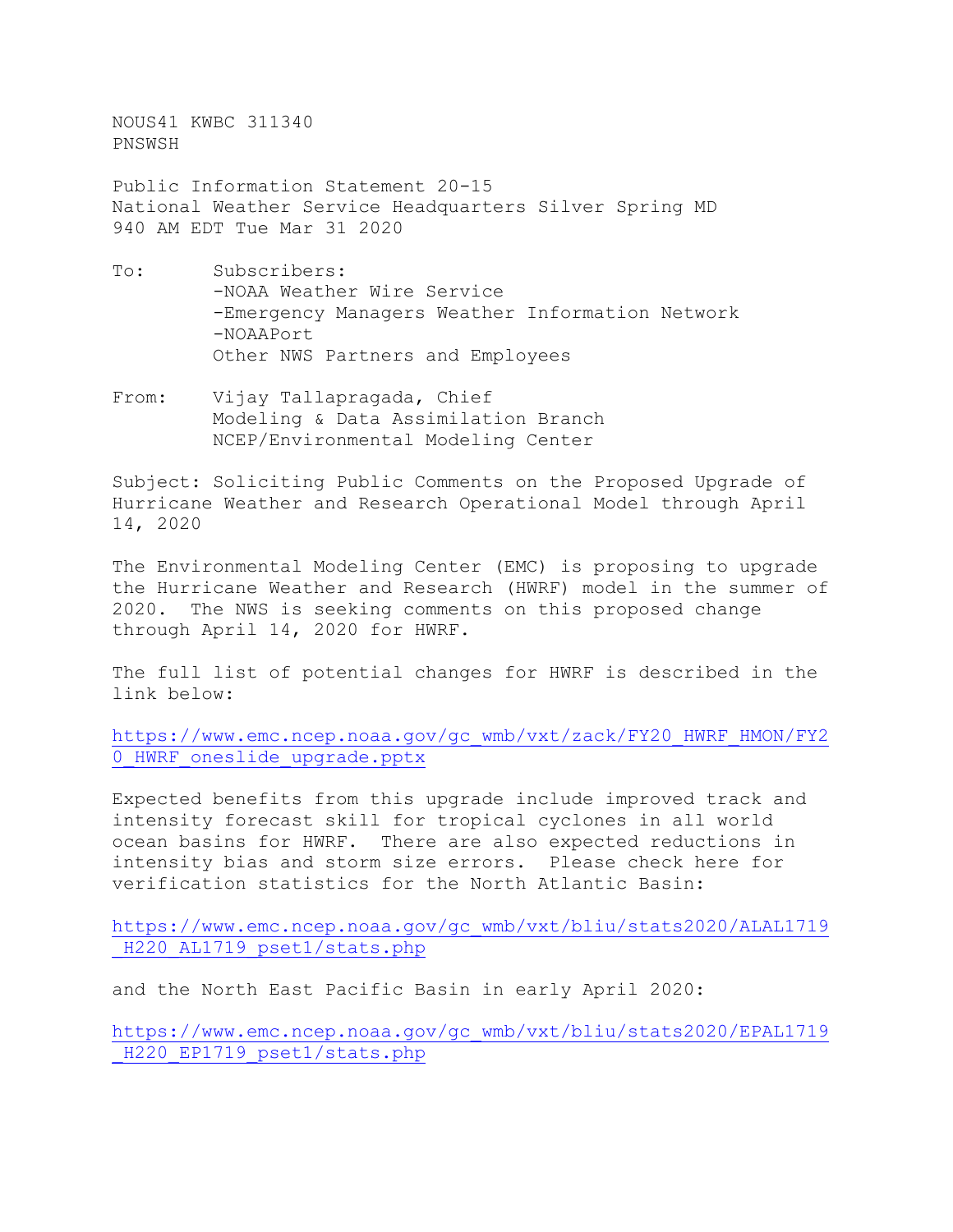NOUS41 KWBC 311340 PNSWSH

Public Information Statement 20-15 National Weather Service Headquarters Silver Spring MD 940 AM EDT Tue Mar 31 2020

- To: Subscribers: -NOAA Weather Wire Service -Emergency Managers Weather Information Network -NOAAPort Other NWS Partners and Employees
- From: Vijay Tallapragada, Chief Modeling & Data Assimilation Branch NCEP/Environmental Modeling Center

Subject: Soliciting Public Comments on the Proposed Upgrade of Hurricane Weather and Research Operational Model through April 14, 2020

The Environmental Modeling Center (EMC) is proposing to upgrade the Hurricane Weather and Research (HWRF) model in the summer of 2020. The NWS is seeking comments on this proposed change through April 14, 2020 for HWRF.

The full list of potential changes for HWRF is described in the link below:

[https://www.emc.ncep.noaa.gov/gc\\_wmb/vxt/zack/FY20\\_HWRF\\_HMON/FY2](https://www.emc.ncep.noaa.gov/gc_wmb/vxt/zack/FY20_HWRF_HMON/FY20_HWRF_oneslide_upgrade.pptx) 0 HWRF oneslide upgrade.pptx

Expected benefits from this upgrade include improved track and intensity forecast skill for tropical cyclones in all world ocean basins for HWRF. There are also expected reductions in intensity bias and storm size errors. Please check here for verification statistics for the North Atlantic Basin:

[https://www.emc.ncep.noaa.gov/gc\\_wmb/vxt/bliu/stats2020/ALAL1719](https://www.emc.ncep.noaa.gov/gc_wmb/vxt/bliu/stats2020/ALAL1719_H220_AL1719_pset1/stats.php) [\\_H220\\_AL1719\\_pset1/stats.php](https://www.emc.ncep.noaa.gov/gc_wmb/vxt/bliu/stats2020/ALAL1719_H220_AL1719_pset1/stats.php)

and the North East Pacific Basin in early April 2020:

[https://www.emc.ncep.noaa.gov/gc\\_wmb/vxt/bliu/stats2020/EPAL1719](https://www.emc.ncep.noaa.gov/gc_wmb/vxt/bliu/stats2020/EPAL1719_H220_EP1719_pset1/stats.php) [\\_H220\\_EP1719\\_pset1/stats.php](https://www.emc.ncep.noaa.gov/gc_wmb/vxt/bliu/stats2020/EPAL1719_H220_EP1719_pset1/stats.php)